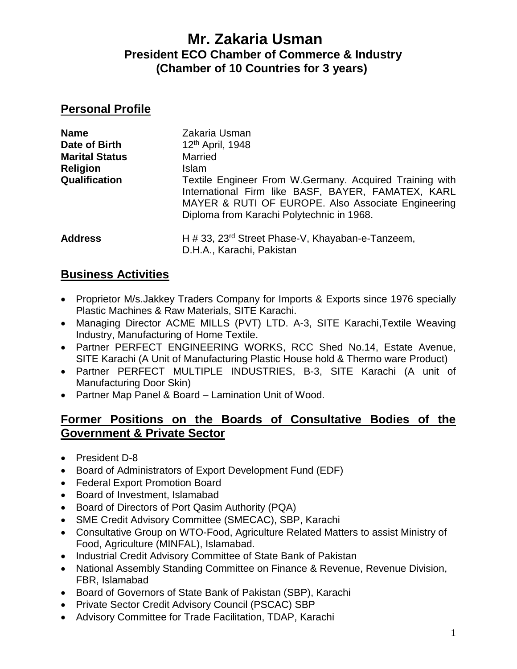# **Mr. Zakaria Usman President ECO Chamber of Commerce & Industry (Chamber of 10 Countries for 3 years)**

#### **Personal Profile**

| <b>Name</b>           | Zakaria Usman                                                                                                                                                                                                    |
|-----------------------|------------------------------------------------------------------------------------------------------------------------------------------------------------------------------------------------------------------|
| Date of Birth         | 12 <sup>th</sup> April, 1948                                                                                                                                                                                     |
| <b>Marital Status</b> | Married                                                                                                                                                                                                          |
| <b>Religion</b>       | <b>Islam</b>                                                                                                                                                                                                     |
| Qualification         | Textile Engineer From W.Germany. Acquired Training with<br>International Firm like BASF, BAYER, FAMATEX, KARL<br>MAYER & RUTI OF EUROPE. Also Associate Engineering<br>Diploma from Karachi Polytechnic in 1968. |
| <b>Address</b>        | H # 33, 23 <sup>rd</sup> Street Phase-V, Khayaban-e-Tanzeem,<br>D.H.A., Karachi, Pakistan                                                                                                                        |

### **Business Activities**

- Proprietor M/s. Jakkey Traders Company for Imports & Exports since 1976 specially Plastic Machines & Raw Materials, SITE Karachi.
- Managing Director ACME MILLS (PVT) LTD. A-3, SITE Karachi,Textile Weaving Industry, Manufacturing of Home Textile.
- Partner PERFECT ENGINEERING WORKS, RCC Shed No.14, Estate Avenue, SITE Karachi (A Unit of Manufacturing Plastic House hold & Thermo ware Product)
- Partner PERFECT MULTIPLE INDUSTRIES, B-3, SITE Karachi (A unit of Manufacturing Door Skin)
- Partner Map Panel & Board Lamination Unit of Wood.

### **Former Positions on the Boards of Consultative Bodies of the Government & Private Sector**

- President D-8
- Board of Administrators of Export Development Fund (EDF)
- Federal Export Promotion Board
- Board of Investment, Islamabad
- Board of Directors of Port Qasim Authority (PQA)
- SME Credit Advisory Committee (SMECAC), SBP, Karachi
- Consultative Group on WTO-Food, Agriculture Related Matters to assist Ministry of Food, Agriculture (MINFAL), Islamabad.
- Industrial Credit Advisory Committee of State Bank of Pakistan
- National Assembly Standing Committee on Finance & Revenue, Revenue Division, FBR, Islamabad
- Board of Governors of State Bank of Pakistan (SBP), Karachi
- Private Sector Credit Advisory Council (PSCAC) SBP
- Advisory Committee for Trade Facilitation, TDAP, Karachi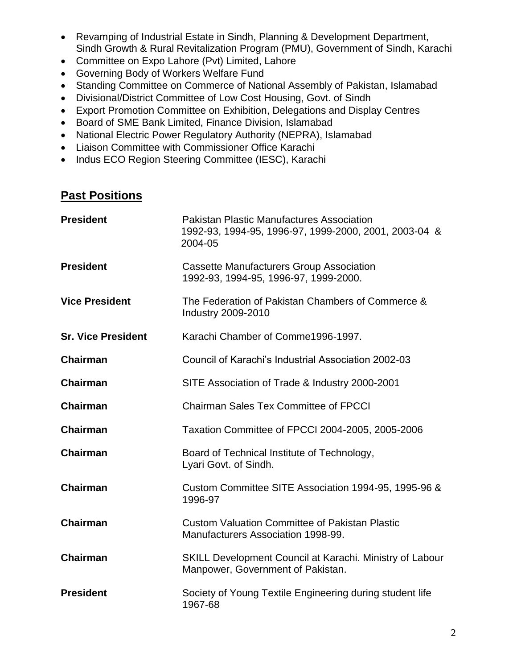- Revamping of Industrial Estate in Sindh, Planning & Development Department, Sindh Growth & Rural Revitalization Program (PMU), Government of Sindh, Karachi
- Committee on Expo Lahore (Pvt) Limited, Lahore
- Governing Body of Workers Welfare Fund
- Standing Committee on Commerce of National Assembly of Pakistan, Islamabad
- Divisional/District Committee of Low Cost Housing, Govt. of Sindh
- Export Promotion Committee on Exhibition, Delegations and Display Centres
- Board of SME Bank Limited, Finance Division, Islamabad
- National Electric Power Regulatory Authority (NEPRA), Islamabad
- Liaison Committee with Commissioner Office Karachi
- Indus ECO Region Steering Committee (IESC), Karachi

## **Past Positions**

| <b>President</b>          | <b>Pakistan Plastic Manufactures Association</b><br>1992-93, 1994-95, 1996-97, 1999-2000, 2001, 2003-04 &<br>2004-05 |
|---------------------------|----------------------------------------------------------------------------------------------------------------------|
| <b>President</b>          | <b>Cassette Manufacturers Group Association</b><br>1992-93, 1994-95, 1996-97, 1999-2000.                             |
| <b>Vice President</b>     | The Federation of Pakistan Chambers of Commerce &<br>Industry 2009-2010                                              |
| <b>Sr. Vice President</b> | Karachi Chamber of Comme1996-1997.                                                                                   |
| <b>Chairman</b>           | Council of Karachi's Industrial Association 2002-03                                                                  |
| <b>Chairman</b>           | SITE Association of Trade & Industry 2000-2001                                                                       |
| Chairman                  | <b>Chairman Sales Tex Committee of FPCCI</b>                                                                         |
| <b>Chairman</b>           | Taxation Committee of FPCCI 2004-2005, 2005-2006                                                                     |
| Chairman                  | Board of Technical Institute of Technology,<br>Lyari Govt. of Sindh.                                                 |
| <b>Chairman</b>           | Custom Committee SITE Association 1994-95, 1995-96 &<br>1996-97                                                      |
| <b>Chairman</b>           | <b>Custom Valuation Committee of Pakistan Plastic</b><br>Manufacturers Association 1998-99.                          |
| <b>Chairman</b>           | <b>SKILL Development Council at Karachi. Ministry of Labour</b><br>Manpower, Government of Pakistan.                 |
| <b>President</b>          | Society of Young Textile Engineering during student life<br>1967-68                                                  |